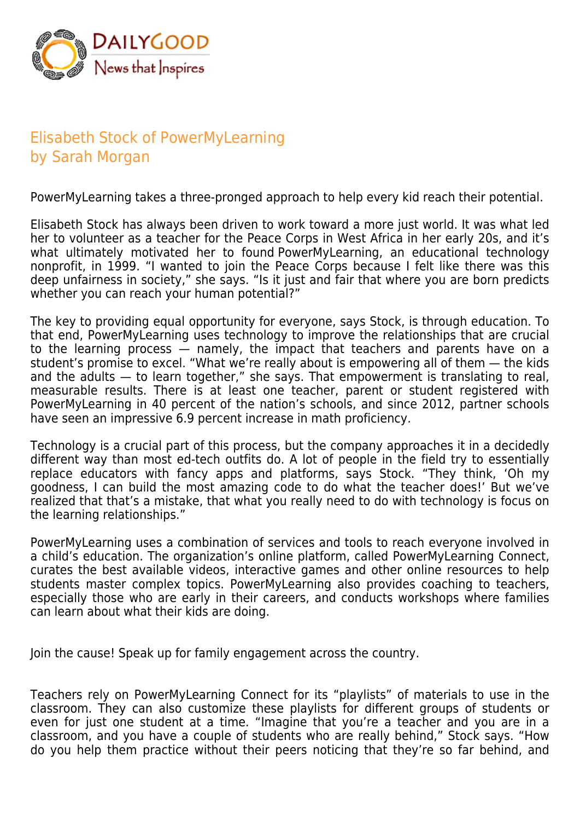

## Elisabeth Stock of PowerMyLearning by Sarah Morgan

PowerMyLearning takes a three-pronged approach to help every kid reach their potential.

Elisabeth Stock has always been driven to work toward a more just world. It was what led her to volunteer as a teacher for the Peace Corps in West Africa in her early 20s, and it's what ultimately motivated her to found PowerMyLearning, an educational technology nonprofit, in 1999. "I wanted to join the Peace Corps because I felt like there was this deep unfairness in society," she says. "Is it just and fair that where you are born predicts whether you can reach your human potential?"

The key to providing equal opportunity for everyone, says Stock, is through education. To that end, PowerMyLearning uses technology to improve the relationships that are crucial to the learning process — namely, the impact that teachers and parents have on a student's promise to excel. "What we're really about is empowering all of them — the kids and the adults — to learn together," she says. That empowerment is translating to real, measurable results. There is at least one teacher, parent or student registered with PowerMyLearning in 40 percent of the nation's schools, and since 2012, partner schools have seen an impressive 6.9 percent increase in math proficiency.

Technology is a crucial part of this process, but the company approaches it in a decidedly different way than most ed-tech outfits do. A lot of people in the field try to essentially replace educators with fancy apps and platforms, says Stock. "They think, 'Oh my goodness, I can build the most amazing code to do what the teacher does!' But we've realized that that's a mistake, that what you really need to do with technology is focus on the learning relationships."

PowerMyLearning uses a combination of services and tools to reach everyone involved in a child's education. The organization's online platform, called PowerMyLearning Connect, curates the best available videos, interactive games and other online resources to help students master complex topics. PowerMyLearning also provides coaching to teachers, especially those who are early in their careers, and conducts workshops where families can learn about what their kids are doing.

Join the cause! Speak up for family engagement across the country.

Teachers rely on PowerMyLearning Connect for its "playlists" of materials to use in the classroom. They can also customize these playlists for different groups of students or even for just one student at a time. "Imagine that you're a teacher and you are in a classroom, and you have a couple of students who are really behind," Stock says. "How do you help them practice without their peers noticing that they're so far behind, and